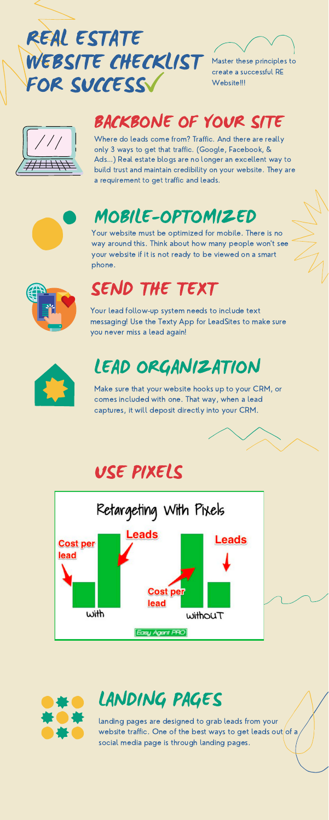USE PIXELS

# LEAD ORGANIZATION

Make sure that your website hooks up to your CRM, or comes included with one. That way, when a lead captures, it will deposit directly into your CRM.







#### BACKBONE OF YOUR SITE



# REAL ESTATE WEBSITE CHECKLIST FOR SUCCESS



Master these principles to create a successful RE Website!!!

Where do leads come from? Traffic. And there are really only 3 ways to get that traffic. (Google, Facebook, & Ads…) Real estate blogs are no longer an excellent way to build trust and maintain credibility on your website. They are a requirement to get traffic and leads.



#### SEND THE TEXT

Your lead follow-up system needs to include text messaging! Use the Texty App for LeadSites to make sure you never miss a lead again!



#### MOBILE-OPTOMIZED

Your website must be optimized for mobile. There is no way around this. Think about how many people won't see your website if it is not ready to be viewed on a smart phone.



### LANDING PAGES

landing pages are designed to grab leads from your website traffic. One of the best ways to get leads out of a social media page is through landing pages.